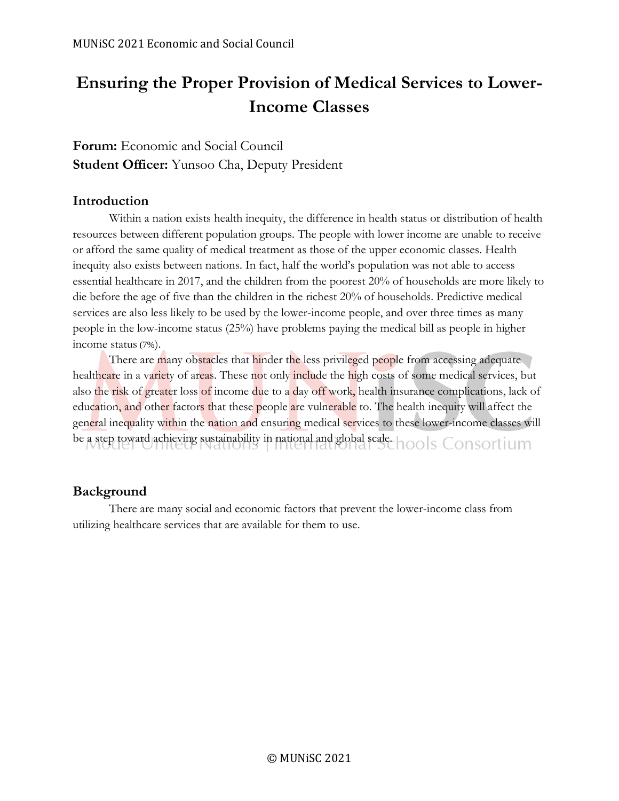# **Ensuring the Proper Provision of Medical Services to Lower-Income Classes**

# **Forum:** Economic and Social Council **Student Officer:** Yunsoo Cha, Deputy President

## **Introduction**

Within a nation exists health inequity, the difference in health status or distribution of health resources between different population groups. The people with lower income are unable to receive or afford the same quality of medical treatment as those of the upper economic classes. Health inequity also exists between nations. In fact, half the world's population was not able to access essential healthcare in 2017, and the children from the poorest 20% of households are more likely to die before the age of five than the children in the richest 20% of households. Predictive medical services are also less likely to be used by the lower-income people, and over three times as many people in the low-income status (25%) have problems paying the medical bill as people in higher income status (7%).

There are many obstacles that hinder the less privileged people from accessing adequate healthcare in a variety of areas. These not only include the high costs of some medical services, but also the risk of greater loss of income due to a day off work, health insurance complications, lack of education, and other factors that these people are vulnerable to. The health inequity will affect the general inequality within the nation and ensuring medical services to these lower-income classes will be a step toward achieving sustainability in national and global scale. hools Consortium

# **Background**

There are many social and economic factors that prevent the lower-income class from utilizing healthcare services that are available for them to use.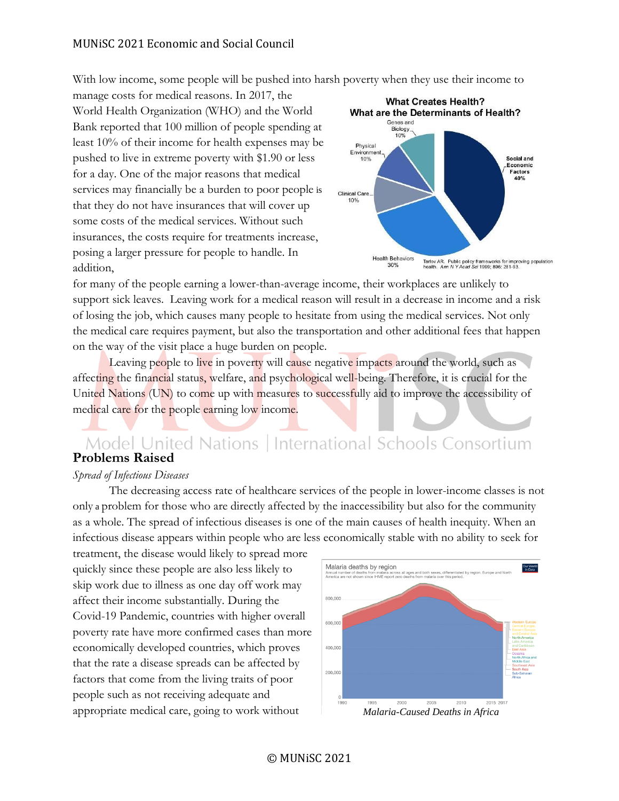With low income, some people will be pushed into harsh poverty when they use their income to

manage costs for medical reasons. In 2017, the World Health Organization (WHO) and the World Bank reported that 100 million of people spending at least 10% of their income for health expenses may be pushed to live in extreme poverty with \$1.90 or less for a day. One of the major reasons that medical services may financially be a burden to poor people is that they do not have insurances that will cover up some costs of the medical services. Without such insurances, the costs require for treatments increase, posing a larger pressure for people to handle. In addition,



for many of the people earning a lower-than-average income, their workplaces are unlikely to support sick leaves. Leaving work for a medical reason will result in a decrease in income and a risk of losing the job, which causes many people to hesitate from using the medical services. Not only the medical care requires payment, but also the transportation and other additional fees that happen on the way of the visit place a huge burden on people.

Leaving people to live in poverty will cause negative impacts around the world, such as affecting the financial status, welfare, and psychological well-being. Therefore, it is crucial for the United Nations (UN) to come up with measures to successfully aid to improve the accessibility of medical care for the people earning low income.

# Model United Nations | International Schools Consortium<br>**Problems Raised**

#### *Spread of Infectious Diseases*

The decreasing access rate of healthcare services of the people in lower-income classes is not only a problem for those who are directly affected by the inaccessibility but also for the community as a whole. The spread of infectious diseases is one of the main causes of health inequity. When an infectious disease appears within people who are less economically stable with no ability to seek for

treatment, the disease would likely to spread more quickly since these people are also less likely to skip work due to illness as one day off work may affect their income substantially. During the Covid-19 Pandemic, countries with higher overall poverty rate have more confirmed cases than more economically developed countries, which proves that the rate a disease spreads can be affected by factors that come from the living traits of poor people such as not receiving adequate and appropriate medical care, going to work without *Malaria-Caused Deaths in Africa*

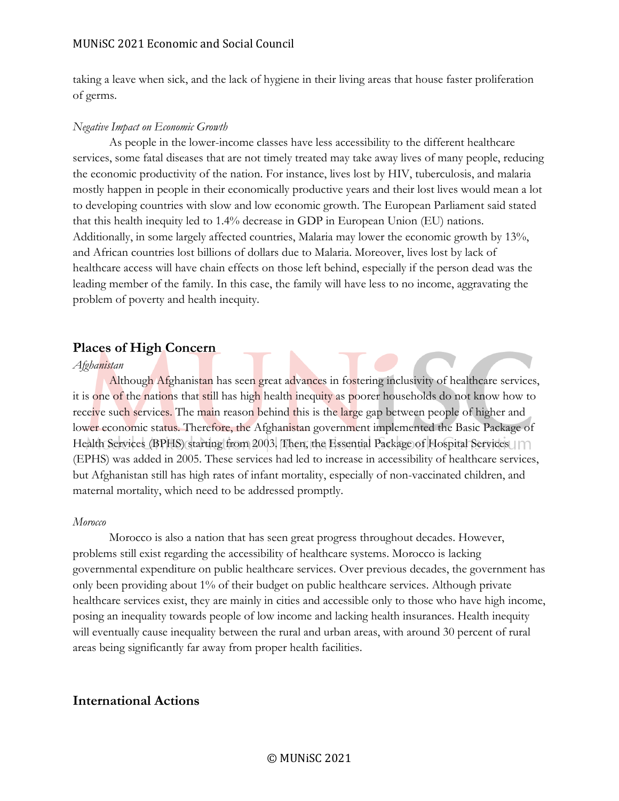taking a leave when sick, and the lack of hygiene in their living areas that house faster proliferation of germs.

#### *Negative Impact on Economic Growth*

As people in the lower-income classes have less accessibility to the different healthcare services, some fatal diseases that are not timely treated may take away lives of many people, reducing the economic productivity of the nation. For instance, lives lost by HIV, tuberculosis, and malaria mostly happen in people in their economically productive years and their lost lives would mean a lot to developing countries with slow and low economic growth. The European Parliament said stated that this health inequity led to 1.4% decrease in GDP in European Union (EU) nations. Additionally, in some largely affected countries, Malaria may lower the economic growth by 13%, and African countries lost billions of dollars due to Malaria. Moreover, lives lost by lack of healthcare access will have chain effects on those left behind, especially if the person dead was the leading member of the family. In this case, the family will have less to no income, aggravating the problem of poverty and health inequity.

#### **Places of High Concern**

#### *Afghanistan*

Although Afghanistan has seen great advances in fostering inclusivity of healthcare services, it is one of the nations that still has high health inequity as poorer households do not know how to receive such services. The main reason behind this is the large gap between people of higher and lower economic status. Therefore, the Afghanistan government implemented the Basic Package of Health Services (BPHS) starting from 2003. Then, the Essential Package of Hospital Services (EPHS) was added in 2005. These services had led to increase in accessibility of healthcare services, but Afghanistan still has high rates of infant mortality, especially of non-vaccinated children, and maternal mortality, which need to be addressed promptly.

#### *Morocco*

Morocco is also a nation that has seen great progress throughout decades. However, problems still exist regarding the accessibility of healthcare systems. Morocco is lacking governmental expenditure on public healthcare services. Over previous decades, the government has only been providing about 1% of their budget on public healthcare services. Although private healthcare services exist, they are mainly in cities and accessible only to those who have high income, posing an inequality towards people of low income and lacking health insurances. Health inequity will eventually cause inequality between the rural and urban areas, with around 30 percent of rural areas being significantly far away from proper health facilities.

## **International Actions**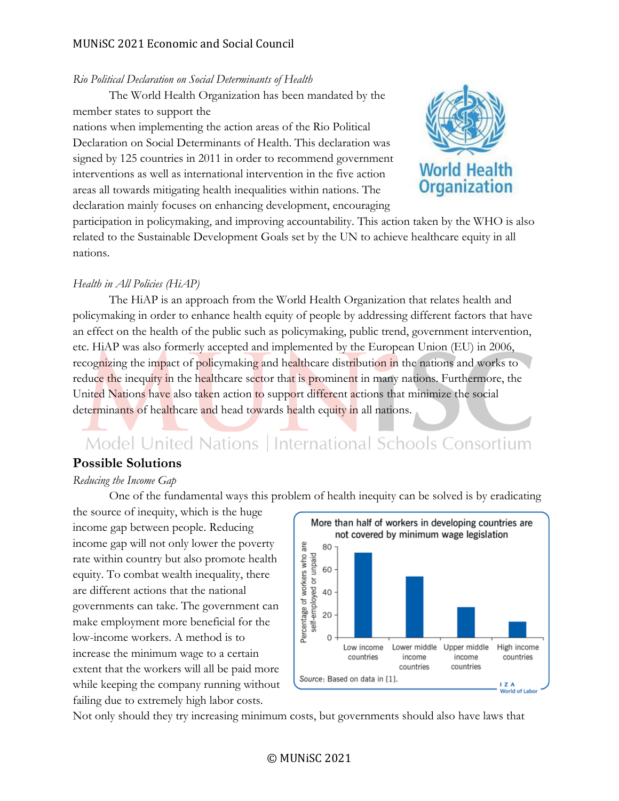#### *Rio Political Declaration on Social Determinants of Health*

The World Health Organization has been mandated by the member states to support the nations when implementing the action areas of the Rio Political Declaration on Social Determinants of Health. This declaration was

signed by 125 countries in 2011 in order to recommend government interventions as well as international intervention in the five action areas all towards mitigating health inequalities within nations. The declaration mainly focuses on enhancing development, encouraging



participation in policymaking, and improving accountability. This action taken by the WHO is also related to the Sustainable Development Goals set by the UN to achieve healthcare equity in all nations.

#### *Health in All Policies (HiAP)*

The HiAP is an approach from the World Health Organization that relates health and policymaking in order to enhance health equity of people by addressing different factors that have an effect on the health of the public such as policymaking, public trend, government intervention, etc. HiAP was also formerly accepted and implemented by the European Union (EU) in 2006, recognizing the impact of policymaking and healthcare distribution in the nations and works to reduce the inequity in the healthcare sector that is prominent in many nations. Furthermore, the United Nations have also taken action to support different actions that minimize the social determinants of healthcare and head towards health equity in all nations.

# Model United Nations | International Schools Consortium

#### **Possible Solutions**

#### *Reducing the Income Gap*

One of the fundamental ways this problem of health inequity can be solved is by eradicating

the source of inequity, which is the huge income gap between people. Reducing income gap will not only lower the poverty rate within country but also promote health equity. To combat wealth inequality, there are different actions that the national governments can take. The government can make employment more beneficial for the low-income workers. A method is to increase the minimum wage to a certain extent that the workers will all be paid more while keeping the company running without failing due to extremely high labor costs.



Not only should they try increasing minimum costs, but governments should also have laws that

#### © MUNiSC 2021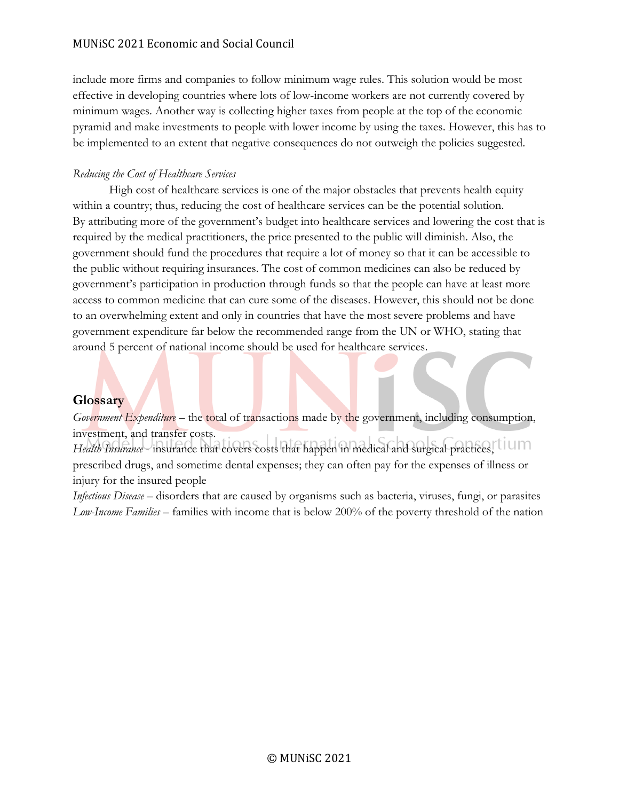include more firms and companies to follow minimum wage rules. This solution would be most effective in developing countries where lots of low-income workers are not currently covered by minimum wages. Another way is collecting higher taxes from people at the top of the economic pyramid and make investments to people with lower income by using the taxes. However, this has to be implemented to an extent that negative consequences do not outweigh the policies suggested.

#### *Reducing the Cost of Healthcare Services*

High cost of healthcare services is one of the major obstacles that prevents health equity within a country; thus, reducing the cost of healthcare services can be the potential solution. By attributing more of the government's budget into healthcare services and lowering the cost that is required by the medical practitioners, the price presented to the public will diminish. Also, the government should fund the procedures that require a lot of money so that it can be accessible to the public without requiring insurances. The cost of common medicines can also be reduced by government's participation in production through funds so that the people can have at least more access to common medicine that can cure some of the diseases. However, this should not be done to an overwhelming extent and only in countries that have the most severe problems and have government expenditure far below the recommended range from the UN or WHO, stating that around 5 percent of national income should be used for healthcare services.

## **Glossary**

*Government Expenditure* – the total of transactions made by the government, including consumption, investment, and transfer costs.

Health Insurance - insurance that covers costs that happen in medical and surgical practices,<sup>tium</sup> prescribed drugs, and sometime dental expenses; they can often pay for the expenses of illness or injury for the insured people

*Infectious Disease* – disorders that are caused by organisms such as bacteria, viruses, fungi, or parasites *Low-Income Families* – families with income that is below 200% of the poverty threshold of the nation